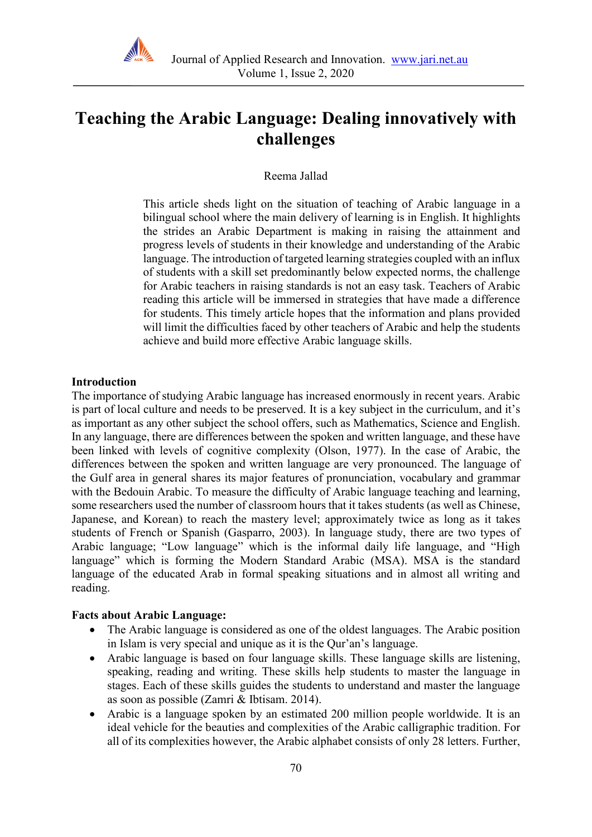

# **Teaching the Arabic Language: Dealing innovatively with challenges**

Reema Jallad

This article sheds light on the situation of teaching of Arabic language in a bilingual school where the main delivery of learning is in English. It highlights the strides an Arabic Department is making in raising the attainment and progress levels of students in their knowledge and understanding of the Arabic language. The introduction of targeted learning strategies coupled with an influx of students with a skill set predominantly below expected norms, the challenge for Arabic teachers in raising standards is not an easy task. Teachers of Arabic reading this article will be immersed in strategies that have made a difference for students. This timely article hopes that the information and plans provided will limit the difficulties faced by other teachers of Arabic and help the students achieve and build more effective Arabic language skills.

#### **Introduction**

The importance of studying Arabic language has increased enormously in recent years. Arabic is part of local culture and needs to be preserved. It is a key subject in the curriculum, and it's as important as any other subject the school offers, such as Mathematics, Science and English. In any language, there are differences between the spoken and written language, and these have been linked with levels of cognitive complexity (Olson, 1977). In the case of Arabic, the differences between the spoken and written language are very pronounced. The language of the Gulf area in general shares its major features of pronunciation, vocabulary and grammar with the Bedouin Arabic. To measure the difficulty of Arabic language teaching and learning, some researchers used the number of classroom hours that it takes students (as well as Chinese, Japanese, and Korean) to reach the mastery level; approximately twice as long as it takes students of French or Spanish (Gasparro, 2003). In language study, there are two types of Arabic language; "Low language" which is the informal daily life language, and "High language" which is forming the Modern Standard Arabic (MSA). MSA is the standard language of the educated Arab in formal speaking situations and in almost all writing and reading.

#### **Facts about Arabic Language:**

- The Arabic language is considered as one of the oldest languages. The Arabic position in Islam is very special and unique as it is the Qur'an's language.
- Arabic language is based on four language skills. These language skills are listening, speaking, reading and writing. These skills help students to master the language in stages. Each of these skills guides the students to understand and master the language as soon as possible (Zamri & Ibtisam. 2014).
- Arabic is a language spoken by an estimated 200 million people worldwide. It is an ideal vehicle for the beauties and complexities of the Arabic calligraphic tradition. For all of its complexities however, the Arabic alphabet consists of only 28 letters. Further,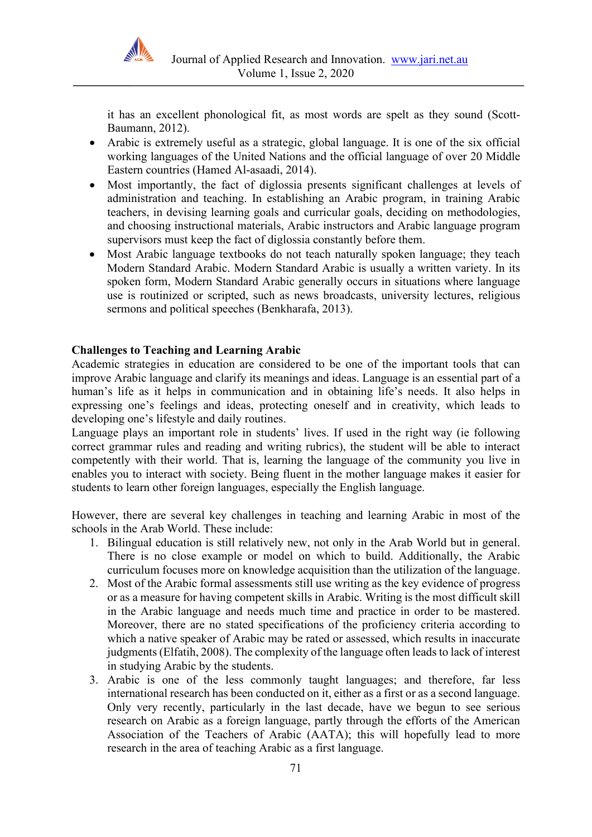

it has an excellent phonological fit, as most words are spelt as they sound (Scott-Baumann, 2012).

- Arabic is extremely useful as a strategic, global language. It is one of the six official working languages of the United Nations and the official language of over 20 Middle Eastern countries (Hamed Al-asaadi, 2014).
- Most importantly, the fact of diglossia presents significant challenges at levels of administration and teaching. In establishing an Arabic program, in training Arabic teachers, in devising learning goals and curricular goals, deciding on methodologies, and choosing instructional materials, Arabic instructors and Arabic language program supervisors must keep the fact of diglossia constantly before them.
- Most Arabic language textbooks do not teach naturally spoken language; they teach Modern Standard Arabic. Modern Standard Arabic is usually a written variety. In its spoken form, Modern Standard Arabic generally occurs in situations where language use is routinized or scripted, such as news broadcasts, university lectures, religious sermons and political speeches (Benkharafa, 2013).

## **Challenges to Teaching and Learning Arabic**

Academic strategies in education are considered to be one of the important tools that can improve Arabic language and clarify its meanings and ideas. Language is an essential part of a human's life as it helps in communication and in obtaining life's needs. It also helps in expressing one's feelings and ideas, protecting oneself and in creativity, which leads to developing one's lifestyle and daily routines.

Language plays an important role in students' lives. If used in the right way (ie following correct grammar rules and reading and writing rubrics), the student will be able to interact competently with their world. That is, learning the language of the community you live in enables you to interact with society. Being fluent in the mother language makes it easier for students to learn other foreign languages, especially the English language.

However, there are several key challenges in teaching and learning Arabic in most of the schools in the Arab World. These include:

- 1. Bilingual education is still relatively new, not only in the Arab World but in general. There is no close example or model on which to build. Additionally, the Arabic curriculum focuses more on knowledge acquisition than the utilization of the language.
- 2. Most of the Arabic formal assessments still use writing as the key evidence of progress or as a measure for having competent skills in Arabic. Writing is the most difficult skill in the Arabic language and needs much time and practice in order to be mastered. Moreover, there are no stated specifications of the proficiency criteria according to which a native speaker of Arabic may be rated or assessed, which results in inaccurate judgments (Elfatih, 2008). The complexity of the language often leads to lack of interest in studying Arabic by the students.
- 3. Arabic is one of the less commonly taught languages; and therefore, far less international research has been conducted on it, either as a first or as a second language. Only very recently, particularly in the last decade, have we begun to see serious research on Arabic as a foreign language, partly through the efforts of the American Association of the Teachers of Arabic (AATA); this will hopefully lead to more research in the area of teaching Arabic as a first language.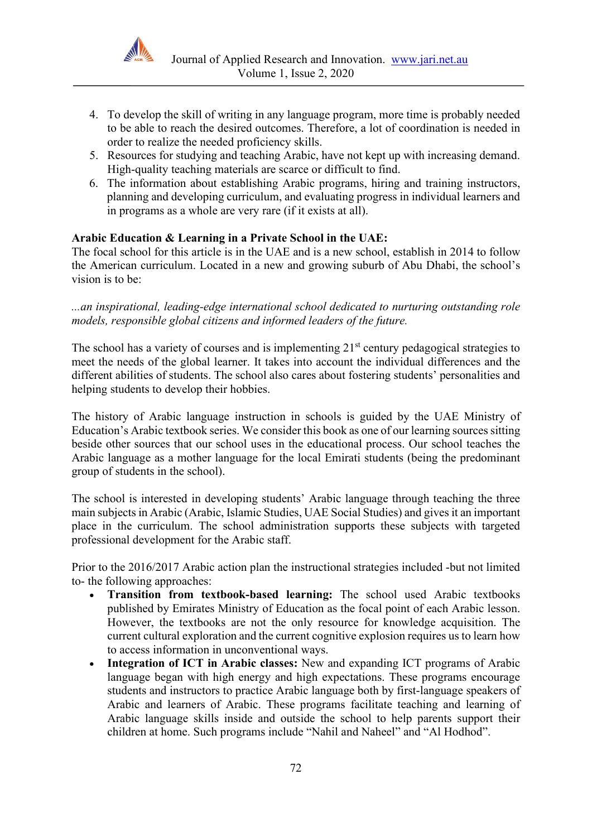

- 4. To develop the skill of writing in any language program, more time is probably needed to be able to reach the desired outcomes. Therefore, a lot of coordination is needed in order to realize the needed proficiency skills.
- 5. Resources for studying and teaching Arabic, have not kept up with increasing demand. High-quality teaching materials are scarce or difficult to find.
- 6. The information about establishing Arabic programs, hiring and training instructors, planning and developing curriculum, and evaluating progress in individual learners and in programs as a whole are very rare (if it exists at all).

## **Arabic Education & Learning in a Private School in the UAE:**

The focal school for this article is in the UAE and is a new school, establish in 2014 to follow the American curriculum. Located in a new and growing suburb of Abu Dhabi, the school's vision is to be:

*...an inspirational, leading-edge international school dedicated to nurturing outstanding role models, responsible global citizens and informed leaders of the future.*

The school has a variety of courses and is implementing 21<sup>st</sup> century pedagogical strategies to meet the needs of the global learner. It takes into account the individual differences and the different abilities of students. The school also cares about fostering students' personalities and helping students to develop their hobbies.

The history of Arabic language instruction in schools is guided by the UAE Ministry of Education's Arabic textbook series. We consider this book as one of our learning sources sitting beside other sources that our school uses in the educational process. Our school teaches the Arabic language as a mother language for the local Emirati students (being the predominant group of students in the school).

The school is interested in developing students' Arabic language through teaching the three main subjects in Arabic (Arabic, Islamic Studies, UAE Social Studies) and gives it an important place in the curriculum. The school administration supports these subjects with targeted professional development for the Arabic staff.

Prior to the 2016/2017 Arabic action plan the instructional strategies included -but not limited to- the following approaches:

- **Transition from textbook-based learning:** The school used Arabic textbooks published by Emirates Ministry of Education as the focal point of each Arabic lesson. However, the textbooks are not the only resource for knowledge acquisition. The current cultural exploration and the current cognitive explosion requires us to learn how to access information in unconventional ways.
- **Integration of ICT in Arabic classes:** New and expanding ICT programs of Arabic language began with high energy and high expectations. These programs encourage students and instructors to practice Arabic language both by first-language speakers of Arabic and learners of Arabic. These programs facilitate teaching and learning of Arabic language skills inside and outside the school to help parents support their children at home. Such programs include "Nahil and Naheel" and "Al Hodhod".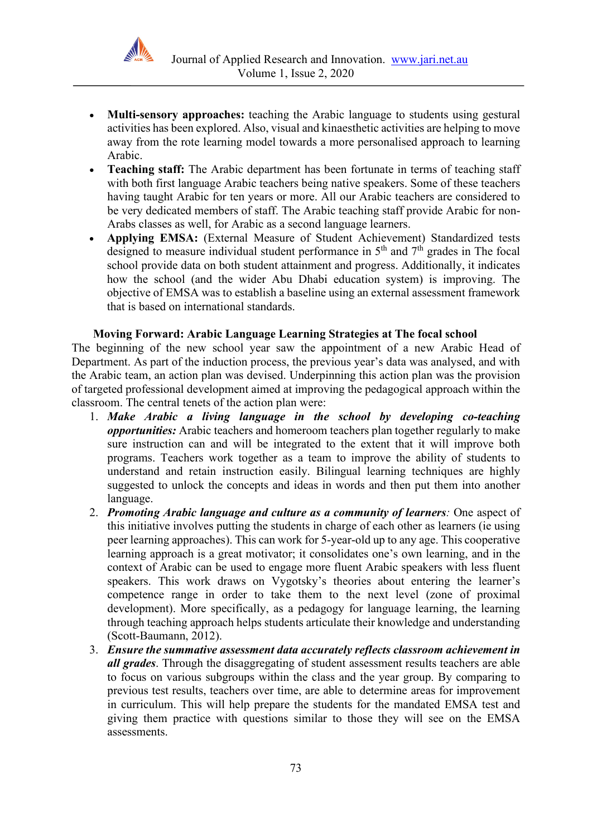

- **Multi-sensory approaches:** teaching the Arabic language to students using gestural activities has been explored. Also, visual and kinaesthetic activities are helping to move away from the rote learning model towards a more personalised approach to learning Arabic.
- **Teaching staff:** The Arabic department has been fortunate in terms of teaching staff with both first language Arabic teachers being native speakers. Some of these teachers having taught Arabic for ten years or more. All our Arabic teachers are considered to be very dedicated members of staff. The Arabic teaching staff provide Arabic for non-Arabs classes as well, for Arabic as a second language learners.
- **Applying EMSA:** (External Measure of Student Achievement) Standardized tests designed to measure individual student performance in 5<sup>th</sup> and 7<sup>th</sup> grades in The focal school provide data on both student attainment and progress. Additionally, it indicates how the school (and the wider Abu Dhabi education system) is improving. The objective of EMSA was to establish a baseline using an external assessment framework that is based on international standards.

## **Moving Forward: Arabic Language Learning Strategies at The focal school**

The beginning of the new school year saw the appointment of a new Arabic Head of Department. As part of the induction process, the previous year's data was analysed, and with the Arabic team, an action plan was devised. Underpinning this action plan was the provision of targeted professional development aimed at improving the pedagogical approach within the classroom. The central tenets of the action plan were:

- 1. *Make Arabic a living language in the school by developing co-teaching opportunities:* Arabic teachers and homeroom teachers plan together regularly to make sure instruction can and will be integrated to the extent that it will improve both programs. Teachers work together as a team to improve the ability of students to understand and retain instruction easily. Bilingual learning techniques are highly suggested to unlock the concepts and ideas in words and then put them into another language.
- 2. *Promoting Arabic language and culture as a community of learners:* One aspect of this initiative involves putting the students in charge of each other as learners (ie using peer learning approaches). This can work for 5-year-old up to any age. This cooperative learning approach is a great motivator; it consolidates one's own learning, and in the context of Arabic can be used to engage more fluent Arabic speakers with less fluent speakers. This work draws on Vygotsky's theories about entering the learner's competence range in order to take them to the next level (zone of proximal development). More specifically, as a pedagogy for language learning, the learning through teaching approach helps students articulate their knowledge and understanding (Scott-Baumann, 2012).
- 3. *Ensure the summative assessment data accurately reflects classroom achievement in all grades*. Through the disaggregating of student assessment results teachers are able to focus on various subgroups within the class and the year group. By comparing to previous test results, teachers over time, are able to determine areas for improvement in curriculum. This will help prepare the students for the mandated EMSA test and giving them practice with questions similar to those they will see on the EMSA assessments.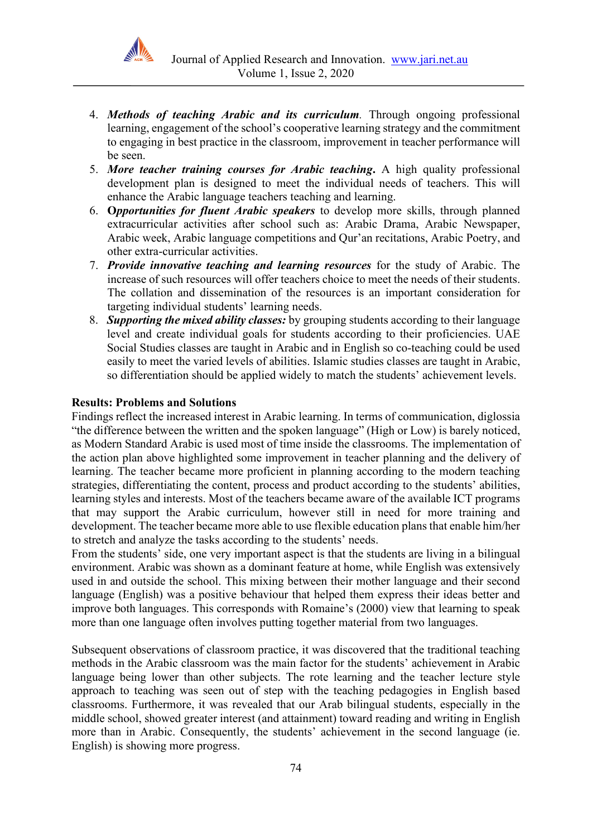

- 4. *Methods of teaching Arabic and its curriculum.* Through ongoing professional learning, engagement of the school's cooperative learning strategy and the commitment to engaging in best practice in the classroom, improvement in teacher performance will be seen.
- 5. *More teacher training courses for Arabic teaching***.** A high quality professional development plan is designed to meet the individual needs of teachers. This will enhance the Arabic language teachers teaching and learning.
- 6. **O***pportunities for fluent Arabic speakers* to develop more skills, through planned extracurricular activities after school such as: Arabic Drama, Arabic Newspaper, Arabic week, Arabic language competitions and Qur'an recitations, Arabic Poetry, and other extra-curricular activities.
- 7. *Provide innovative teaching and learning resources* for the study of Arabic. The increase of such resources will offer teachers choice to meet the needs of their students. The collation and dissemination of the resources is an important consideration for targeting individual students' learning needs.
- 8. *Supporting the mixed ability classes:* by grouping students according to their language level and create individual goals for students according to their proficiencies. UAE Social Studies classes are taught in Arabic and in English so co-teaching could be used easily to meet the varied levels of abilities. Islamic studies classes are taught in Arabic, so differentiation should be applied widely to match the students' achievement levels.

#### **Results: Problems and Solutions**

Findings reflect the increased interest in Arabic learning. In terms of communication, diglossia "the difference between the written and the spoken language" (High or Low) is barely noticed, as Modern Standard Arabic is used most of time inside the classrooms. The implementation of the action plan above highlighted some improvement in teacher planning and the delivery of learning. The teacher became more proficient in planning according to the modern teaching strategies, differentiating the content, process and product according to the students' abilities, learning styles and interests. Most of the teachers became aware of the available ICT programs that may support the Arabic curriculum, however still in need for more training and development. The teacher became more able to use flexible education plans that enable him/her to stretch and analyze the tasks according to the students' needs.

From the students' side, one very important aspect is that the students are living in a bilingual environment. Arabic was shown as a dominant feature at home, while English was extensively used in and outside the school. This mixing between their mother language and their second language (English) was a positive behaviour that helped them express their ideas better and improve both languages. This corresponds with Romaine's (2000) view that learning to speak more than one language often involves putting together material from two languages.

Subsequent observations of classroom practice, it was discovered that the traditional teaching methods in the Arabic classroom was the main factor for the students' achievement in Arabic language being lower than other subjects. The rote learning and the teacher lecture style approach to teaching was seen out of step with the teaching pedagogies in English based classrooms. Furthermore, it was revealed that our Arab bilingual students, especially in the middle school, showed greater interest (and attainment) toward reading and writing in English more than in Arabic. Consequently, the students' achievement in the second language (ie. English) is showing more progress.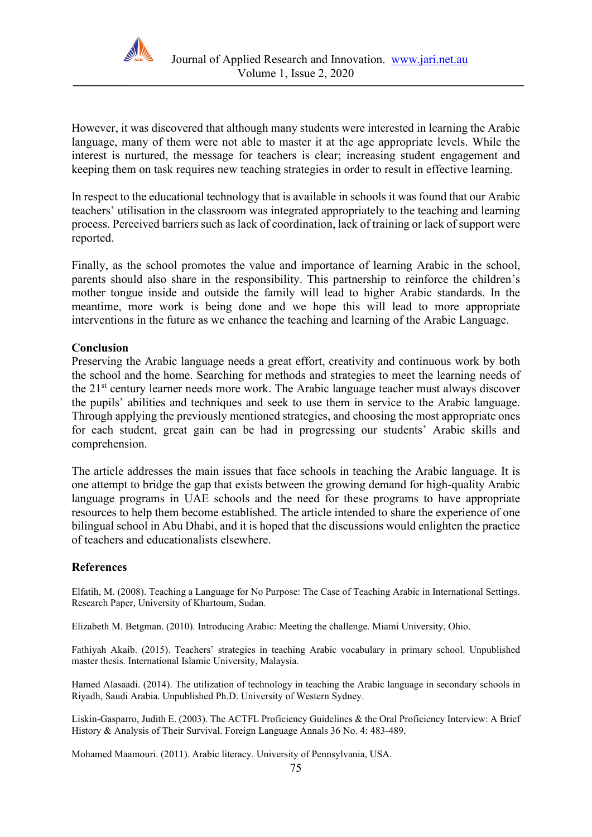

However, it was discovered that although many students were interested in learning the Arabic language, many of them were not able to master it at the age appropriate levels. While the interest is nurtured, the message for teachers is clear; increasing student engagement and keeping them on task requires new teaching strategies in order to result in effective learning.

In respect to the educational technology that is available in schools it was found that our Arabic teachers' utilisation in the classroom was integrated appropriately to the teaching and learning process. Perceived barriers such as lack of coordination, lack of training or lack of support were reported.

Finally, as the school promotes the value and importance of learning Arabic in the school, parents should also share in the responsibility. This partnership to reinforce the children's mother tongue inside and outside the family will lead to higher Arabic standards. In the meantime, more work is being done and we hope this will lead to more appropriate interventions in the future as we enhance the teaching and learning of the Arabic Language.

## **Conclusion**

Preserving the Arabic language needs a great effort, creativity and continuous work by both the school and the home. Searching for methods and strategies to meet the learning needs of the 21<sup>st</sup> century learner needs more work. The Arabic language teacher must always discover the pupils' abilities and techniques and seek to use them in service to the Arabic language. Through applying the previously mentioned strategies, and choosing the most appropriate ones for each student, great gain can be had in progressing our students' Arabic skills and comprehension.

The article addresses the main issues that face schools in teaching the Arabic language. It is one attempt to bridge the gap that exists between the growing demand for high-quality Arabic language programs in UAE schools and the need for these programs to have appropriate resources to help them become established. The article intended to share the experience of one bilingual school in Abu Dhabi, and it is hoped that the discussions would enlighten the practice of teachers and educationalists elsewhere.

## **References**

Elfatih, M. (2008). Teaching a Language for No Purpose: The Case of Teaching Arabic in International Settings. Research Paper, University of Khartoum, Sudan.

Elizabeth M. Betgman. (2010). Introducing Arabic: Meeting the challenge. Miami University, Ohio.

Fathiyah Akaib. (2015). Teachers' strategies in teaching Arabic vocabulary in primary school. Unpublished master thesis. International Islamic University, Malaysia.

Hamed Alasaadi. (2014). The utilization of technology in teaching the Arabic language in secondary schools in Riyadh, Saudi Arabia. Unpublished Ph.D. University of Western Sydney.

Liskin-Gasparro, Judith E. (2003). The ACTFL Proficiency Guidelines & the Oral Proficiency Interview: A Brief History & Analysis of Their Survival. Foreign Language Annals 36 No. 4: 483-489.

Mohamed Maamouri. (2011). Arabic literacy. University of Pennsylvania, USA.